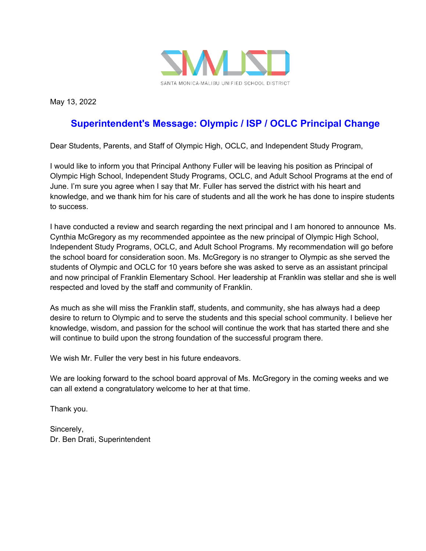

May 13, 2022

## **Superintendent's Message: Olympic / ISP / OCLC Principal Change**

Dear Students, Parents, and Staff of Olympic High, OCLC, and Independent Study Program,

I would like to inform you that Principal Anthony Fuller will be leaving his position as Principal of Olympic High School, Independent Study Programs, OCLC, and Adult School Programs at the end of June. I'm sure you agree when I say that Mr. Fuller has served the district with his heart and knowledge, and we thank him for his care of students and all the work he has done to inspire students to success.

I have conducted a review and search regarding the next principal and I am honored to announce Ms. Cynthia McGregory as my recommended appointee as the new principal of Olympic High School, Independent Study Programs, OCLC, and Adult School Programs. My recommendation will go before the school board for consideration soon. Ms. McGregory is no stranger to Olympic as she served the students of Olympic and OCLC for 10 years before she was asked to serve as an assistant principal and now principal of Franklin Elementary School. Her leadership at Franklin was stellar and she is well respected and loved by the staff and community of Franklin.

As much as she will miss the Franklin staff, students, and community, she has always had a deep desire to return to Olympic and to serve the students and this special school community. I believe her knowledge, wisdom, and passion for the school will continue the work that has started there and she will continue to build upon the strong foundation of the successful program there.

We wish Mr. Fuller the very best in his future endeavors.

We are looking forward to the school board approval of Ms. McGregory in the coming weeks and we can all extend a congratulatory welcome to her at that time.

Thank you.

Sincerely, Dr. Ben Drati, Superintendent